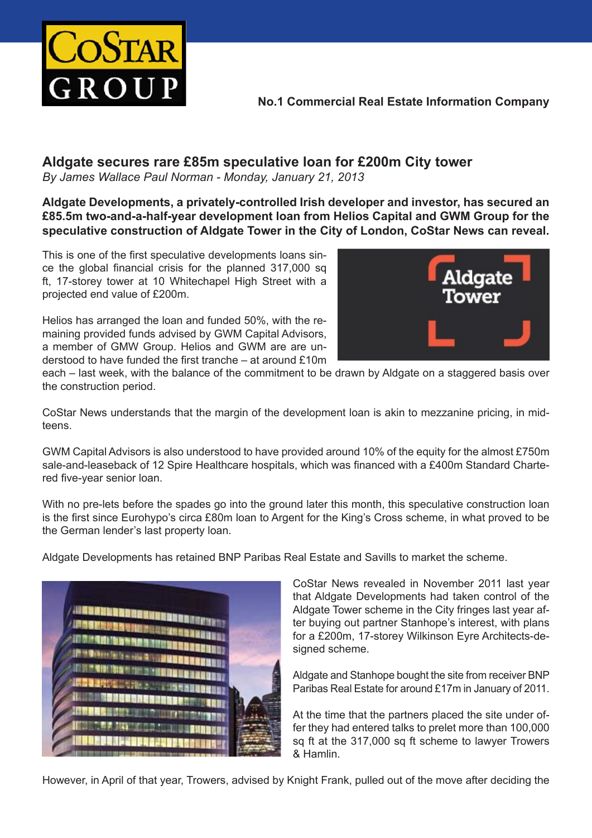

## **No.1 Commercial Real Estate Information Company**

## **Aldgate secures rare £85m speculative loan for £200m City tower**

*By James Wallace Paul Norman - Monday, January 21, 2013* 

**Aldgate Developments, a privately-controlled Irish developer and investor, has secured an £85.5m two-and-a-half-year development loan from Helios Capital and GWM Group for the speculative construction of Aldgate Tower in the City of London, CoStar News can reveal.**

This is one of the first speculative developments loans since the global financial crisis for the planned 317,000 sq ft, 17-storey tower at 10 Whitechapel High Street with a projected end value of £200m.

Helios has arranged the loan and funded 50%, with the remaining provided funds advised by GWM Capital Advisors, a member of GMW Group. Helios and GWM are are understood to have funded the first tranche – at around £10m



each – last week, with the balance of the commitment to be drawn by Aldgate on a staggered basis over the construction period.

CoStar News understands that the margin of the development loan is akin to mezzanine pricing, in midteens.

GWM Capital Advisors is also understood to have provided around 10% of the equity for the almost £750m sale-and-leaseback of 12 Spire Healthcare hospitals, which was financed with a £400m Standard Chartered five-year senior loan.

With no pre-lets before the spades go into the ground later this month, this speculative construction loan is the first since Eurohypo's circa £80m loan to Argent for the King's Cross scheme, in what proved to be the German lender's last property loan.

Aldgate Developments has retained BNP Paribas Real Estate and Savills to market the scheme.



CoStar News revealed in November 2011 last year that Aldgate Developments had taken control of the Aldgate Tower scheme in the City fringes last year after buying out partner Stanhope's interest, with plans for a £200m, 17-storey Wilkinson Eyre Architects-designed scheme.

Aldgate and Stanhope bought the site from receiver BNP Paribas Real Estate for around £17m in January of 2011.

At the time that the partners placed the site under offer they had entered talks to prelet more than 100,000 sq ft at the 317,000 sq ft scheme to lawyer Trowers & Hamlin.

However, in April of that year, Trowers, advised by Knight Frank, pulled out of the move after deciding the